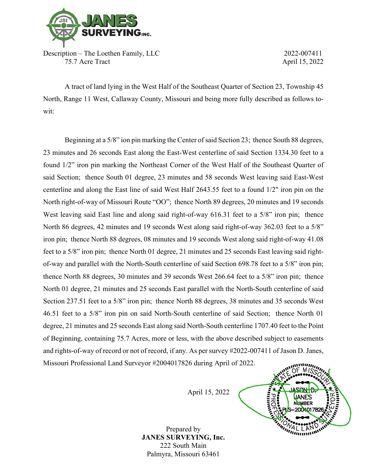

Description – The Loethen Family, LLC 2022-007411 75.7 Acre Tract April 15, 2022

 A tract of land lying in the West Half of the Southeast Quarter of Section 23, Township 45 North, Range 11 West, Callaway County, Missouri and being more fully described as follows towit:

 Beginning at a 5/8" ion pin marking the Center of said Section 23; thence South 88 degrees, 23 minutes and 26 seconds East along the East-West centerline of said Section 1334.30 feet to a found 1/2" iron pin marking the Northeast Corner of the West Half of the Southeast Quarter of said Section; thence South 01 degree, 23 minutes and 58 seconds West leaving said East-West centerline and along the East line of said West Half 2643.55 feet to a found 1/2" iron pin on the North right-of-way of Missouri Route "OO"; thence North 89 degrees, 20 minutes and 19 seconds West leaving said East line and along said right-of-way 616.31 feet to a 5/8" iron pin; thence North 86 degrees, 42 minutes and 19 seconds West along said right-of-way 362.03 feet to a 5/8" iron pin; thence North 88 degrees, 08 minutes and 19 seconds West along said right-of-way 41.08 feet to a 5/8" iron pin; thence North 01 degree, 21 minutes and 25 seconds East leaving said rightof-way and parallel with the North-South centerline of said Section 698.78 feet to a 5/8" iron pin; thence North 88 degrees, 30 minutes and 39 seconds West 266.64 feet to a 5/8" iron pin; thence North 01 degree, 21 minutes and 25 seconds East parallel with the North-South centerline of said Section 237.51 feet to a 5/8" iron pin; thence North 88 degrees, 38 minutes and 35 seconds West 46.51 feet to a 5/8" iron pin on said North-South centerline of said Section; thence North 01 degree, 21 minutes and 25 seconds East along said North-South centerline 1707.40 feet to the Point of Beginning, containing 75.7 Acres, more or less, with the above described subject to easements and rights-of-way of record or not of record, if any. As per survey #2022-007411 of Jason D. Janes, Missouri Professional Land Surveyor #2004017826 during April of 2022.

April 15, 2022

Prepared by **JANES SURVEYING, Inc.**  222 South Main Palmyra, Missouri 63461

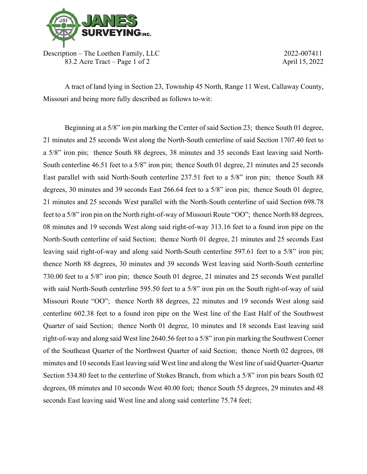

Description – The Loethen Family, LLC 2022-007411 83.2 Acre Tract – Page 1 of 2 April 15, 2022

 A tract of land lying in Section 23, Township 45 North, Range 11 West, Callaway County, Missouri and being more fully described as follows to-wit:

Beginning at a 5/8" ion pin marking the Center of said Section 23; thence South 01 degree, 21 minutes and 25 seconds West along the North-South centerline of said Section 1707.40 feet to a 5/8" iron pin; thence South 88 degrees, 38 minutes and 35 seconds East leaving said North-South centerline 46.51 feet to a 5/8" iron pin; thence South 01 degree, 21 minutes and 25 seconds East parallel with said North-South centerline 237.51 feet to a 5/8" iron pin; thence South 88 degrees, 30 minutes and 39 seconds East 266.64 feet to a 5/8" iron pin; thence South 01 degree, 21 minutes and 25 seconds West parallel with the North-South centerline of said Section 698.78 feet to a 5/8" iron pin on the North right-of-way of Missouri Route "OO"; thence North 88 degrees, 08 minutes and 19 seconds West along said right-of-way 313.16 feet to a found iron pipe on the North-South centerline of said Section; thence North 01 degree, 21 minutes and 25 seconds East leaving said right-of-way and along said North-South centerline 597.61 feet to a 5/8" iron pin; thence North 88 degrees, 30 minutes and 39 seconds West leaving said North-South centerline 730.00 feet to a 5/8" iron pin; thence South 01 degree, 21 minutes and 25 seconds West parallel with said North-South centerline 595.50 feet to a 5/8" iron pin on the South right-of-way of said Missouri Route "OO"; thence North 88 degrees, 22 minutes and 19 seconds West along said centerline 602.38 feet to a found iron pipe on the West line of the East Half of the Southwest Quarter of said Section; thence North 01 degree, 10 minutes and 18 seconds East leaving said right-of-way and along said West line 2640.56 feet to a 5/8" iron pin marking the Southwest Corner of the Southeast Quarter of the Northwest Quarter of said Section; thence North 02 degrees, 08 minutes and 10 seconds East leaving said West line and along the West line of said Quarter-Quarter Section 534.80 feet to the centerline of Stokes Branch, from which a 5/8" iron pin bears South 02 degrees, 08 minutes and 10 seconds West 40.00 feet; thence South 55 degrees, 29 minutes and 48 seconds East leaving said West line and along said centerline 75.74 feet;